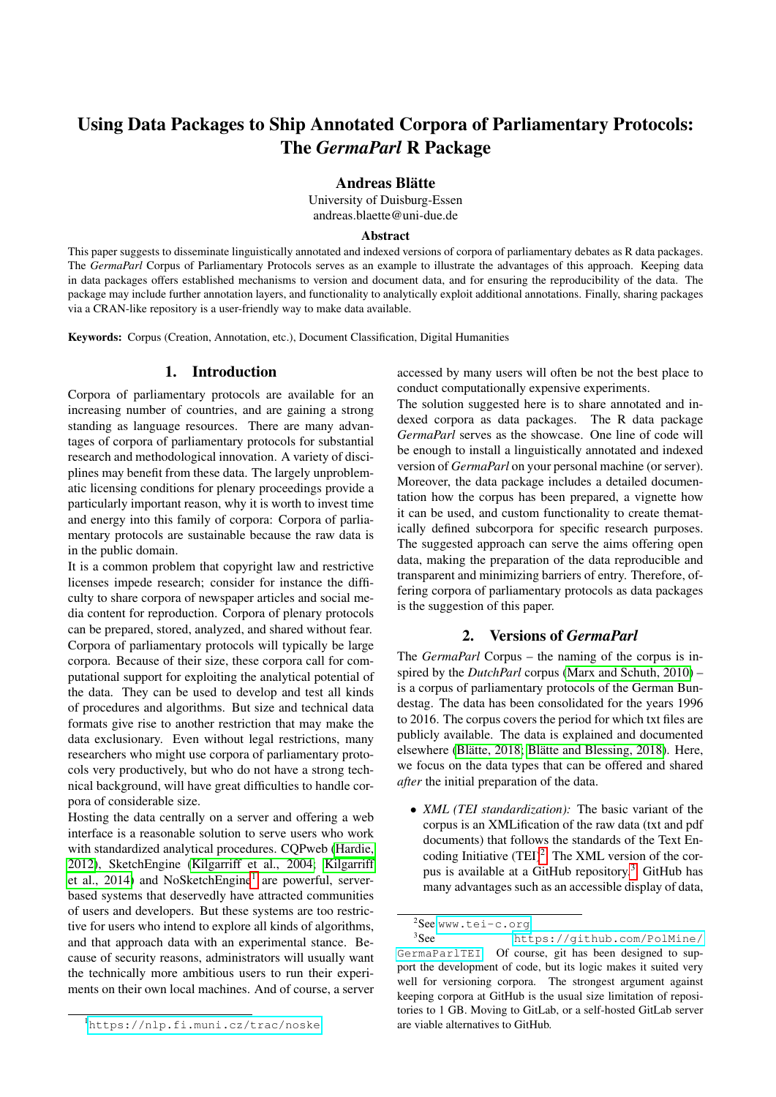# Using Data Packages to Ship Annotated Corpora of Parliamentary Protocols: The *GermaParl* R Package

Andreas Blätte

University of Duisburg-Essen andreas.blaette@uni-due.de

#### Abstract

This paper suggests to disseminate linguistically annotated and indexed versions of corpora of parliamentary debates as R data packages. The *GermaParl* Corpus of Parliamentary Protocols serves as an example to illustrate the advantages of this approach. Keeping data in data packages offers established mechanisms to version and document data, and for ensuring the reproducibility of the data. The package may include further annotation layers, and functionality to analytically exploit additional annotations. Finally, sharing packages via a CRAN-like repository is a user-friendly way to make data available.

Keywords: Corpus (Creation, Annotation, etc.), Document Classification, Digital Humanities

#### 1. Introduction

Corpora of parliamentary protocols are available for an increasing number of countries, and are gaining a strong standing as language resources. There are many advantages of corpora of parliamentary protocols for substantial research and methodological innovation. A variety of disciplines may benefit from these data. The largely unproblematic licensing conditions for plenary proceedings provide a particularly important reason, why it is worth to invest time and energy into this family of corpora: Corpora of parliamentary protocols are sustainable because the raw data is in the public domain.

It is a common problem that copyright law and restrictive licenses impede research; consider for instance the difficulty to share corpora of newspaper articles and social media content for reproduction. Corpora of plenary protocols can be prepared, stored, analyzed, and shared without fear. Corpora of parliamentary protocols will typically be large corpora. Because of their size, these corpora call for computational support for exploiting the analytical potential of the data. They can be used to develop and test all kinds of procedures and algorithms. But size and technical data formats give rise to another restriction that may make the data exclusionary. Even without legal restrictions, many researchers who might use corpora of parliamentary protocols very productively, but who do not have a strong technical background, will have great difficulties to handle corpora of considerable size.

Hosting the data centrally on a server and offering a web interface is a reasonable solution to serve users who work with standardized analytical procedures. CQPweb [\(Hardie,](#page-4-0) [2012\)](#page-4-0), SketchEngine [\(Kilgarriff et al., 2004;](#page-4-1) [Kilgarriff](#page-4-2) [et al., 2014\)](#page-4-2) and NoSketchEngine<sup>[1](#page-0-0)</sup> are powerful, serverbased systems that deservedly have attracted communities of users and developers. But these systems are too restrictive for users who intend to explore all kinds of algorithms, and that approach data with an experimental stance. Because of security reasons, administrators will usually want the technically more ambitious users to run their experiments on their own local machines. And of course, a server

accessed by many users will often be not the best place to conduct computationally expensive experiments.

The solution suggested here is to share annotated and indexed corpora as data packages. The R data package *GermaParl* serves as the showcase. One line of code will be enough to install a linguistically annotated and indexed version of *GermaParl* on your personal machine (or server). Moreover, the data package includes a detailed documentation how the corpus has been prepared, a vignette how it can be used, and custom functionality to create thematically defined subcorpora for specific research purposes. The suggested approach can serve the aims offering open data, making the preparation of the data reproducible and transparent and minimizing barriers of entry. Therefore, offering corpora of parliamentary protocols as data packages is the suggestion of this paper.

#### 2. Versions of *GermaParl*

The *GermaParl* Corpus – the naming of the corpus is inspired by the *DutchParl* corpus [\(Marx and Schuth, 2010\)](#page-4-3) – is a corpus of parliamentary protocols of the German Bundestag. The data has been consolidated for the years 1996 to 2016. The corpus covers the period for which txt files are publicly available. The data is explained and documented elsewhere (Blätte, 2018; Blätte and Blessing, 2018). Here, we focus on the data types that can be offered and shared *after* the initial preparation of the data.

• *XML (TEI standardization):* The basic variant of the corpus is an XMLification of the raw data (txt and pdf documents) that follows the standards of the Text Encoding Initiative  $(TEI)^2$  $(TEI)^2$ . The XML version of the corpus is available at a GitHub repository.[3](#page-0-2) GitHub has many advantages such as an accessible display of data,

<span id="page-0-0"></span><sup>1</sup><https://nlp.fi.muni.cz/trac/noske>.

<span id="page-0-2"></span><span id="page-0-1"></span><sup>&</sup>lt;sup>2</sup>See <www.tei-c.org>.

<sup>&</sup>lt;sup>3</sup>See [https://github.com/PolMine/](https://github.com/PolMine/GermaParlTEI) [GermaParlTEI](https://github.com/PolMine/GermaParlTEI). Of course, git has been designed to support the development of code, but its logic makes it suited very well for versioning corpora. The strongest argument against keeping corpora at GitHub is the usual size limitation of repositories to 1 GB. Moving to GitLab, or a self-hosted GitLab server are viable alternatives to GitHub.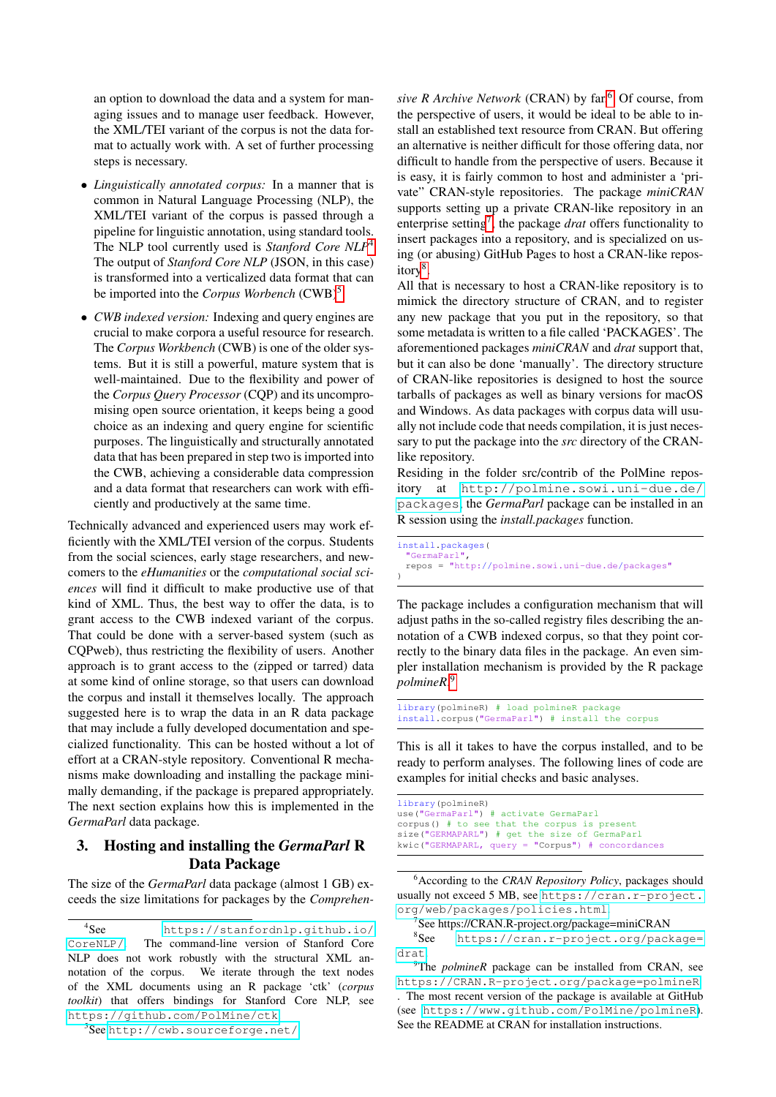an option to download the data and a system for managing issues and to manage user feedback. However, the XML/TEI variant of the corpus is not the data format to actually work with. A set of further processing steps is necessary.

- *Linguistically annotated corpus:* In a manner that is common in Natural Language Processing (NLP), the XML/TEI variant of the corpus is passed through a pipeline for linguistic annotation, using standard tools. The NLP tool currently used is *Stanford Core NLP*[4](#page-1-0) The output of *Stanford Core NLP* (JSON, in this case) is transformed into a verticalized data format that can be imported into the *Corpus Worbench* (CWB)<sup>[5](#page-1-1)</sup>.
- *CWB indexed version:* Indexing and query engines are crucial to make corpora a useful resource for research. The *Corpus Workbench* (CWB) is one of the older systems. But it is still a powerful, mature system that is well-maintained. Due to the flexibility and power of the *Corpus Query Processor* (CQP) and its uncompromising open source orientation, it keeps being a good choice as an indexing and query engine for scientific purposes. The linguistically and structurally annotated data that has been prepared in step two is imported into the CWB, achieving a considerable data compression and a data format that researchers can work with efficiently and productively at the same time.

Technically advanced and experienced users may work efficiently with the XML/TEI version of the corpus. Students from the social sciences, early stage researchers, and newcomers to the *eHumanities* or the *computational social sciences* will find it difficult to make productive use of that kind of XML. Thus, the best way to offer the data, is to grant access to the CWB indexed variant of the corpus. That could be done with a server-based system (such as CQPweb), thus restricting the flexibility of users. Another approach is to grant access to the (zipped or tarred) data at some kind of online storage, so that users can download the corpus and install it themselves locally. The approach suggested here is to wrap the data in an R data package that may include a fully developed documentation and specialized functionality. This can be hosted without a lot of effort at a CRAN-style repository. Conventional R mechanisms make downloading and installing the package minimally demanding, if the package is prepared appropriately. The next section explains how this is implemented in the *GermaParl* data package.

# 3. Hosting and installing the *GermaParl* R Data Package

The size of the *GermaParl* data package (almost 1 GB) exceeds the size limitations for packages by the *Comprehen-* *sive R Archive Network* (CRAN) by far.<sup>[6](#page-1-2)</sup> Of course, from the perspective of users, it would be ideal to be able to install an established text resource from CRAN. But offering an alternative is neither difficult for those offering data, nor difficult to handle from the perspective of users. Because it is easy, it is fairly common to host and administer a 'private" CRAN-style repositories. The package *miniCRAN* supports setting up a private CRAN-like repository in an enterprise setting<sup>[7](#page-1-3)</sup>, the package *drat* offers functionality to insert packages into a repository, and is specialized on using (or abusing) GitHub Pages to host a CRAN-like repos-itory<sup>[8](#page-1-4)</sup>.

All that is necessary to host a CRAN-like repository is to mimick the directory structure of CRAN, and to register any new package that you put in the repository, so that some metadata is written to a file called 'PACKAGES'. The aforementioned packages *miniCRAN* and *drat* support that, but it can also be done 'manually'. The directory structure of CRAN-like repositories is designed to host the source tarballs of packages as well as binary versions for macOS and Windows. As data packages with corpus data will usually not include code that needs compilation, it is just necessary to put the package into the *src* directory of the CRANlike repository.

Residing in the folder src/contrib of the PolMine repository at [http://polmine.sowi.uni-due.de/](http://polmine.sowi.uni-due.de/packages) [packages](http://polmine.sowi.uni-due.de/packages), the *GermaParl* package can be installed in an R session using the *install.packages* function.

install.packages( "GermaParl", repos = "http://polmine.sowi.uni-due.de/packages" )

The package includes a configuration mechanism that will adjust paths in the so-called registry files describing the annotation of a CWB indexed corpus, so that they point correctly to the binary data files in the package. An even simpler installation mechanism is provided by the R package *polmineR*. [9](#page-1-5)

library(polmineR) # load polmineR package install.corpus("GermaParl") # install the corpus

This is all it takes to have the corpus installed, and to be ready to perform analyses. The following lines of code are examples for initial checks and basic analyses.

library(polmineR) use("GermaParl") # activate GermaParl corpus() # to see that the corpus is present size("GERMAPARL") # get the size of GermaParl kwic("GERMAPARL, query = "Corpus") # concordances

<span id="page-1-2"></span><sup>6</sup>According to the *CRAN Repository Policy*, packages should usually not exceed 5 MB, see [https://cran.r-project.](https://cran.r-project.org/web/packages/policies.html) [org/web/packages/policies.html](https://cran.r-project.org/web/packages/policies.html).

<span id="page-1-4"></span><span id="page-1-3"></span>7 See https://CRAN.R-project.org/package=miniCRAN

 $^8{\rm{See}}$ [https://cran.r-project.org/package=](https://cran.r-project.org/package=drat) [drat](https://cran.r-project.org/package=drat).

<span id="page-1-5"></span><sup>9</sup>The *polmineR* package can be installed from CRAN, see <https://CRAN.R-project.org/package=polmineR> . The most recent version of the package is available at GitHub (see <https://www.github.com/PolMine/polmineR>). See the README at CRAN for installation instructions.

<span id="page-1-0"></span> $4$ See [https://stanfordnlp.github.io/](https://stanfordnlp.github.io/CoreNLP/) [CoreNLP/](https://stanfordnlp.github.io/CoreNLP/). The command-line version of Stanford Core NLP does not work robustly with the structural XML annotation of the corpus. We iterate through the text nodes of the XML documents using an R package 'ctk' (*corpus toolkit*) that offers bindings for Stanford Core NLP, see <https://github.com/PolMine/ctk>.

<span id="page-1-1"></span><sup>5</sup> See <http://cwb.sourceforge.net/>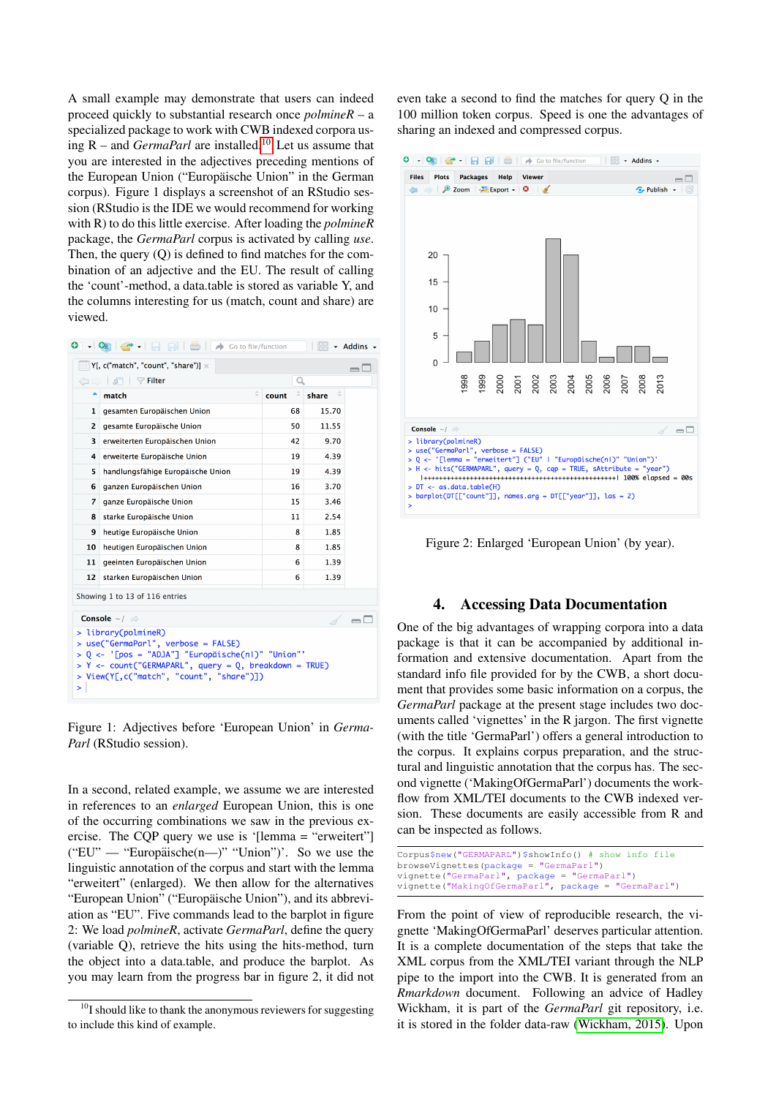A small example may demonstrate that users can indeed proceed quickly to substantial research once *polmineR* – a specialized package to work with CWB indexed corpora using R – and *GermaParl* are installed.[10](#page-2-0) Let us assume that you are interested in the adjectives preceding mentions of the European Union ("Europäische Union" in the German corpus). Figure 1 displays a screenshot of an RStudio session (RStudio is the IDE we would recommend for working with R) to do this little exercise. After loading the *polmineR* package, the *GermaParl* corpus is activated by calling *use*. Then, the query (Q) is defined to find matches for the combination of an adjective and the EU. The result of calling the 'count'-method, a data.table is stored as variable Y, and the columns interesting for us (match, count and share) are viewed.

| o                                                                                                                                                                                                                               | $\bigoplus$<br>Go to file/function |       | 88    | - Addins - |
|---------------------------------------------------------------------------------------------------------------------------------------------------------------------------------------------------------------------------------|------------------------------------|-------|-------|------------|
| $Y$ [, c("match", "count", "share")] $\times$<br>$\overline{\phantom{0}}$                                                                                                                                                       |                                    |       |       |            |
| (□□) 5 Filter                                                                                                                                                                                                                   |                                    | Q     |       |            |
| ۰                                                                                                                                                                                                                               | ÷<br>match                         | count | share |            |
| 1                                                                                                                                                                                                                               | gesamten Europäischen Union        | 68    | 15.70 |            |
| $\overline{2}$                                                                                                                                                                                                                  | gesamte Europäische Union          | 50    | 11.55 |            |
| 3                                                                                                                                                                                                                               | erweiterten Europäischen Union     | 42    | 9.70  |            |
| 4                                                                                                                                                                                                                               | erweiterte Europäische Union       | 19    | 4.39  |            |
| 5                                                                                                                                                                                                                               | handlungsfähige Europäische Union  | 19    | 4.39  |            |
| 6                                                                                                                                                                                                                               | ganzen Europäischen Union          | 16    | 3.70  |            |
| $\overline{z}$                                                                                                                                                                                                                  | ganze Europäische Union            | 15    | 3.46  |            |
| 8                                                                                                                                                                                                                               | starke Europäische Union           | 11    | 2.54  |            |
| 9                                                                                                                                                                                                                               | heutige Europäische Union          | 8     | 1.85  |            |
| 10                                                                                                                                                                                                                              | heutigen Europäischen Union        | 8     | 1.85  |            |
| 11                                                                                                                                                                                                                              | geeinten Europäischen Union        | 6     | 1.39  |            |
| 12                                                                                                                                                                                                                              | starken Europäischen Union         | 6     | 1.39  |            |
| Showing 1 to 13 of 116 entries                                                                                                                                                                                                  |                                    |       |       |            |
| Console $\sim$ / $\gg$                                                                                                                                                                                                          |                                    |       |       |            |
| > library(polmineR)<br>$use("GermanParl", verbose = FALSE)$<br>Q <- '[pos = "ADJA"] "Europäische(nl)" "Union"'<br>$Y \leq$ count ("GERMAPARL", query = Q, breakdown = TRUE)<br>View(Y[,c("match", "count", "share")])<br>><br>> |                                    |       |       |            |

Figure 1: Adjectives before 'European Union' in *Germa-Parl* (RStudio session).

In a second, related example, we assume we are interested in references to an *enlarged* European Union, this is one of the occurring combinations we saw in the previous exercise. The CQP query we use is '[lemma = "erweitert"]  $("EU" — "European" ische(n")" "Union")'. So we use the$ linguistic annotation of the corpus and start with the lemma "erweitert" (enlarged). We then allow for the alternatives "European Union" ("Europäische Union"), and its abbreviation as "EU". Five commands lead to the barplot in figure 2: We load *polmineR*, activate *GermaParl*, define the query (variable Q), retrieve the hits using the hits-method, turn the object into a data.table, and produce the barplot. As you may learn from the progress bar in figure 2, it did not even take a second to find the matches for query Q in the 100 million token corpus. Speed is one the advantages of sharing an indexed and compressed corpus.



Figure 2: Enlarged 'European Union' (by year).

### 4. Accessing Data Documentation

One of the big advantages of wrapping corpora into a data package is that it can be accompanied by additional information and extensive documentation. Apart from the standard info file provided for by the CWB, a short document that provides some basic information on a corpus, the *GermaParl* package at the present stage includes two documents called 'vignettes' in the R jargon. The first vignette (with the title 'GermaParl') offers a general introduction to the corpus. It explains corpus preparation, and the structural and linguistic annotation that the corpus has. The second vignette ('MakingOfGermaParl') documents the workflow from XML/TEI documents to the CWB indexed version. These documents are easily accessible from R and can be inspected as follows.

```
Corpus$new("GERMAPARL")$showInfo() # show info file
browseVignettes(package = "GermaParl")
vignette("GermaParl", package = "GermaParl")
vignette("MakingOfGermaParl", package = "GermaParl")
```
From the point of view of reproducible research, the vignette 'MakingOfGermaParl' deserves particular attention. It is a complete documentation of the steps that take the XML corpus from the XML/TEI variant through the NLP pipe to the import into the CWB. It is generated from an *Rmarkdown* document. Following an advice of Hadley Wickham, it is part of the *GermaParl* git repository, i.e. it is stored in the folder data-raw [\(Wickham, 2015\)](#page-4-6). Upon

<span id="page-2-0"></span> $10I$  should like to thank the anonymous reviewers for suggesting to include this kind of example.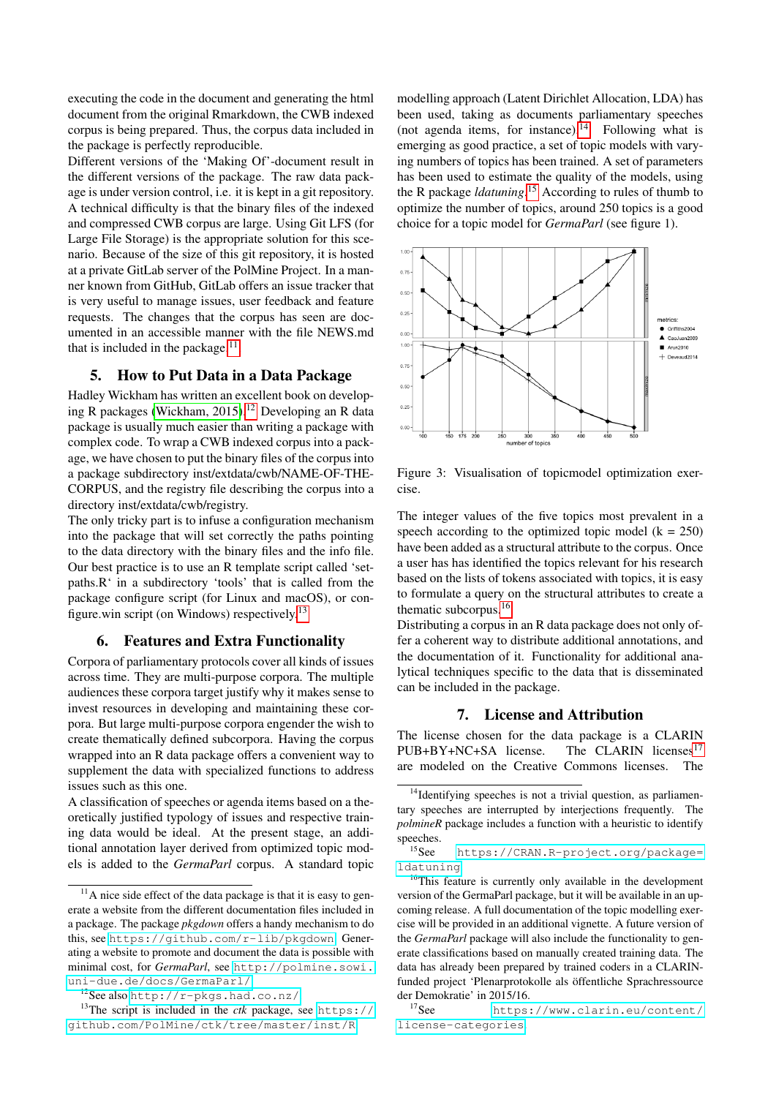executing the code in the document and generating the html document from the original Rmarkdown, the CWB indexed corpus is being prepared. Thus, the corpus data included in the package is perfectly reproducible.

Different versions of the 'Making Of'-document result in the different versions of the package. The raw data package is under version control, i.e. it is kept in a git repository. A technical difficulty is that the binary files of the indexed and compressed CWB corpus are large. Using Git LFS (for Large File Storage) is the appropriate solution for this scenario. Because of the size of this git repository, it is hosted at a private GitLab server of the PolMine Project. In a manner known from GitHub, GitLab offers an issue tracker that is very useful to manage issues, user feedback and feature requests. The changes that the corpus has seen are documented in an accessible manner with the file NEWS.md that is included in the package. $11$ .

#### 5. How to Put Data in a Data Package

Hadley Wickham has written an excellent book on develop-ing R packages [\(Wickham, 2015\)](#page-4-6).<sup>[12](#page-3-1)</sup> Developing an R data package is usually much easier than writing a package with complex code. To wrap a CWB indexed corpus into a package, we have chosen to put the binary files of the corpus into a package subdirectory inst/extdata/cwb/NAME-OF-THE-CORPUS, and the registry file describing the corpus into a directory inst/extdata/cwb/registry.

The only tricky part is to infuse a configuration mechanism into the package that will set correctly the paths pointing to the data directory with the binary files and the info file. Our best practice is to use an R template script called 'setpaths.R' in a subdirectory 'tools' that is called from the package configure script (for Linux and macOS), or configure.win script (on Windows) respectively.[13](#page-3-2)

#### 6. Features and Extra Functionality

Corpora of parliamentary protocols cover all kinds of issues across time. They are multi-purpose corpora. The multiple audiences these corpora target justify why it makes sense to invest resources in developing and maintaining these corpora. But large multi-purpose corpora engender the wish to create thematically defined subcorpora. Having the corpus wrapped into an R data package offers a convenient way to supplement the data with specialized functions to address issues such as this one.

A classification of speeches or agenda items based on a theoretically justified typology of issues and respective training data would be ideal. At the present stage, an additional annotation layer derived from optimized topic models is added to the *GermaParl* corpus. A standard topic modelling approach (Latent Dirichlet Allocation, LDA) has been used, taking as documents parliamentary speeches (not agenda items, for instance). $^{14}$  $^{14}$  $^{14}$  Following what is emerging as good practice, a set of topic models with varying numbers of topics has been trained. A set of parameters has been used to estimate the quality of the models, using the R package *ldatuning*. [15](#page-3-4) According to rules of thumb to optimize the number of topics, around 250 topics is a good choice for a topic model for *GermaParl* (see figure 1).



Figure 3: Visualisation of topicmodel optimization exercise.

The integer values of the five topics most prevalent in a speech according to the optimized topic model  $(k = 250)$ have been added as a structural attribute to the corpus. Once a user has has identified the topics relevant for his research based on the lists of tokens associated with topics, it is easy to formulate a query on the structural attributes to create a thematic subcorpus.[16](#page-3-5)

Distributing a corpus in an R data package does not only offer a coherent way to distribute additional annotations, and the documentation of it. Functionality for additional analytical techniques specific to the data that is disseminated can be included in the package.

#### 7. License and Attribution

The license chosen for the data package is a CLARIN  $PUB + BY + NC + SA$  license. The CLARIN licenses<sup>[17](#page-3-6)</sup> are modeled on the Creative Commons licenses. The

<span id="page-3-4"></span><sup>15</sup>See [https://CRAN.R-project.org/package=](https://CRAN.R-project.org/package=ldatuning) [ldatuning](https://CRAN.R-project.org/package=ldatuning).

<span id="page-3-0"></span> $11$ A nice side effect of the data package is that it is easy to generate a website from the different documentation files included in a package. The package *pkgdown* offers a handy mechanism to do this, see <https://github.com/r-lib/pkgdown>. Generating a website to promote and document the data is possible with minimal cost, for *GermaParl*, see [http://polmine.sowi.](http://polmine.sowi.uni-due.de/docs/GermaParl/) [uni-due.de/docs/GermaParl/](http://polmine.sowi.uni-due.de/docs/GermaParl/)

<span id="page-3-2"></span><span id="page-3-1"></span><sup>12</sup>See also <http://r-pkgs.had.co.nz/>.

<sup>&</sup>lt;sup>13</sup>The script is included in the *ctk* package, see [https://](https://github.com/PolMine/ctk/tree/master/inst/R) [github.com/PolMine/ctk/tree/master/inst/R](https://github.com/PolMine/ctk/tree/master/inst/R).

<span id="page-3-3"></span><sup>&</sup>lt;sup>14</sup>Identifying speeches is not a trivial question, as parliamentary speeches are interrupted by interjections frequently. The *polmineR* package includes a function with a heuristic to identify speeches.

<span id="page-3-5"></span><sup>&</sup>lt;sup>16</sup>This feature is currently only available in the development version of the GermaParl package, but it will be available in an upcoming release. A full documentation of the topic modelling exercise will be provided in an additional vignette. A future version of the *GermaParl* package will also include the functionality to generate classifications based on manually created training data. The data has already been prepared by trained coders in a CLARINfunded project 'Plenarprotokolle als öffentliche Sprachressource der Demokratie' in 2015/16.<br><sup>17</sup>See https

<span id="page-3-6"></span>[https://www.clarin.eu/content/](https://www.clarin.eu/content/license-categories) [license-categories](https://www.clarin.eu/content/license-categories).